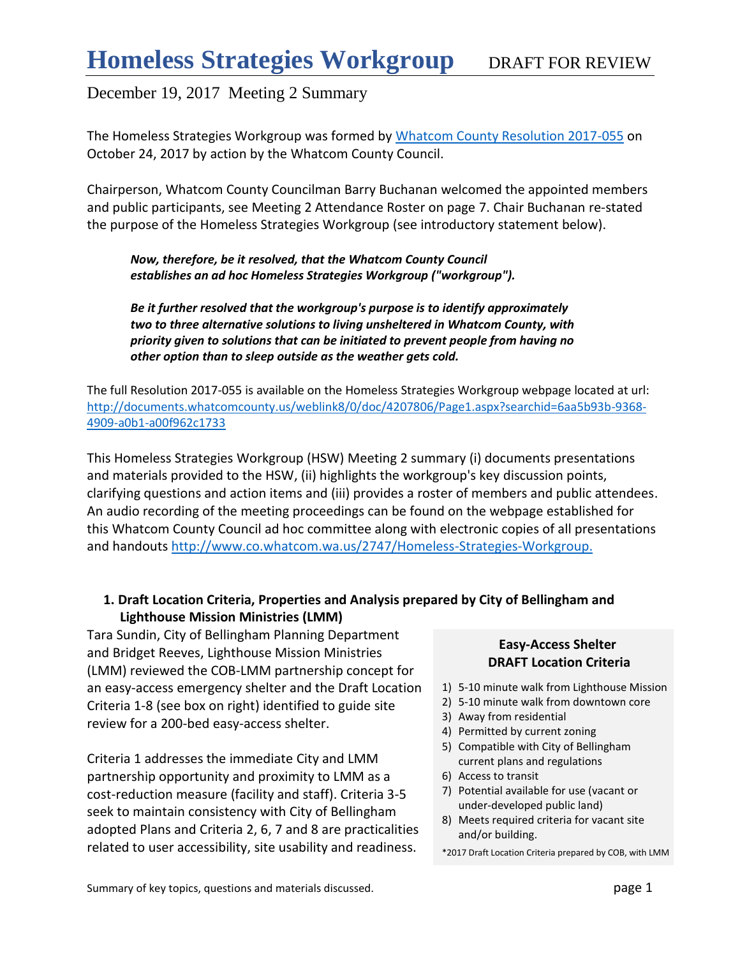The Homeless Strategies Workgroup was formed by [Whatcom County Resolution 2017-055](http://documents.whatcomcounty.us/weblink8/0/doc/4207806/Page1.aspx?searchid=6aa5b93b-9368-4909-a0b1-a00f962c1733) on October 24, 2017 by action by the Whatcom County Council.

Chairperson, Whatcom County Councilman Barry Buchanan welcomed the appointed members and public participants, see Meeting 2 Attendance Roster on page 7. Chair Buchanan re-stated the purpose of the Homeless Strategies Workgroup (see introductory statement below).

*Now, therefore, be it resolved, that the Whatcom County Council establishes an ad hoc Homeless Strategies Workgroup ("workgroup").* 

*Be it further resolved that the workgroup's purpose is to identify approximately two to three alternative solutions to living unsheltered in Whatcom County, with priority given to solutions that can be initiated to prevent people from having no other option than to sleep outside as the weather gets cold.* 

The full Resolution 2017-055 is available on the Homeless Strategies Workgroup webpage located at url: [http://documents.whatcomcounty.us/weblink8/0/doc/4207806/Page1.aspx?searchid=6aa5b93b-9368-](http://documents.whatcomcounty.us/weblink8/0/doc/4207806/Page1.aspx?searchid=6aa5b93b-9368-4909-a0b1-a00f962c1733) [4909-a0b1-a00f962c1733](http://documents.whatcomcounty.us/weblink8/0/doc/4207806/Page1.aspx?searchid=6aa5b93b-9368-4909-a0b1-a00f962c1733)

This Homeless Strategies Workgroup (HSW) Meeting 2 summary (i) documents presentations and materials provided to the HSW, (ii) highlights the workgroup's key discussion points, clarifying questions and action items and (iii) provides a roster of members and public attendees. An audio recording of the meeting proceedings can be found on the webpage established for this Whatcom County Council ad hoc committee along with electronic copies of all presentations and handouts <http://www.co.whatcom.wa.us/2747/Homeless-Strategies-Workgroup.>

## **1. Draft Location Criteria, Properties and Analysis prepared by City of Bellingham and Lighthouse Mission Ministries (LMM)**

Tara Sundin, City of Bellingham Planning Department and Bridget Reeves, Lighthouse Mission Ministries (LMM) reviewed the COB-LMM partnership concept for an easy-access emergency shelter and the Draft Location Criteria 1-8 (see box on right) identified to guide site review for a 200-bed easy-access shelter.

Criteria 1 addresses the immediate City and LMM partnership opportunity and proximity to LMM as a cost-reduction measure (facility and staff). Criteria 3-5 seek to maintain consistency with City of Bellingham adopted Plans and Criteria 2, 6, 7 and 8 are practicalities related to user accessibility, site usability and readiness.

## **Easy-Access Shelter DRAFT Location Criteria**

- 1) 5-10 minute walk from Lighthouse Mission
- 2) 5-10 minute walk from downtown core
- 3) Away from residential
- 4) Permitted by current zoning
- 5) Compatible with City of Bellingham current plans and regulations
- 6) Access to transit
- 7) Potential available for use (vacant or under-developed public land)
- 8) Meets required criteria for vacant site and/or building.

<sup>\*2017</sup> Draft Location Criteria prepared by COB, with LMM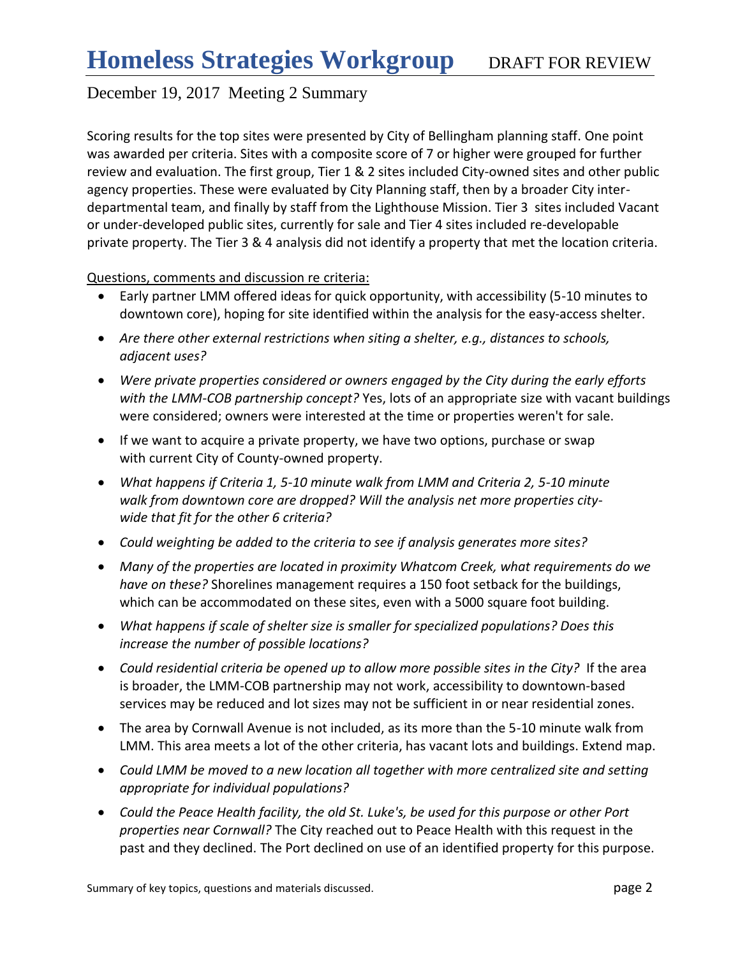Scoring results for the top sites were presented by City of Bellingham planning staff. One point was awarded per criteria. Sites with a composite score of 7 or higher were grouped for further review and evaluation. The first group, Tier 1 & 2 sites included City-owned sites and other public agency properties. These were evaluated by City Planning staff, then by a broader City interdepartmental team, and finally by staff from the Lighthouse Mission. Tier 3 sites included Vacant or under-developed public sites, currently for sale and Tier 4 sites included re-developable private property. The Tier 3 & 4 analysis did not identify a property that met the location criteria.

Questions, comments and discussion re criteria:

- Early partner LMM offered ideas for quick opportunity, with accessibility (5-10 minutes to downtown core), hoping for site identified within the analysis for the easy-access shelter.
- *Are there other external restrictions when siting a shelter, e.g., distances to schools, adjacent uses?*
- *Were private properties considered or owners engaged by the City during the early efforts with the LMM-COB partnership concept?* Yes, lots of an appropriate size with vacant buildings were considered; owners were interested at the time or properties weren't for sale.
- If we want to acquire a private property, we have two options, purchase or swap with current City of County-owned property.
- *What happens if Criteria 1, 5-10 minute walk from LMM and Criteria 2, 5-10 minute walk from downtown core are dropped? Will the analysis net more properties citywide that fit for the other 6 criteria?*
- *Could weighting be added to the criteria to see if analysis generates more sites?*
- *Many of the properties are located in proximity Whatcom Creek, what requirements do we have on these?* Shorelines management requires a 150 foot setback for the buildings, which can be accommodated on these sites, even with a 5000 square foot building.
- *What happens if scale of shelter size is smaller for specialized populations? Does this increase the number of possible locations?*
- *Could residential criteria be opened up to allow more possible sites in the City?* If the area is broader, the LMM-COB partnership may not work, accessibility to downtown-based services may be reduced and lot sizes may not be sufficient in or near residential zones.
- The area by Cornwall Avenue is not included, as its more than the 5-10 minute walk from LMM. This area meets a lot of the other criteria, has vacant lots and buildings. Extend map.
- *Could LMM be moved to a new location all together with more centralized site and setting appropriate for individual populations?*
- *Could the Peace Health facility, the old St. Luke's, be used for this purpose or other Port properties near Cornwall?* The City reached out to Peace Health with this request in the past and they declined. The Port declined on use of an identified property for this purpose.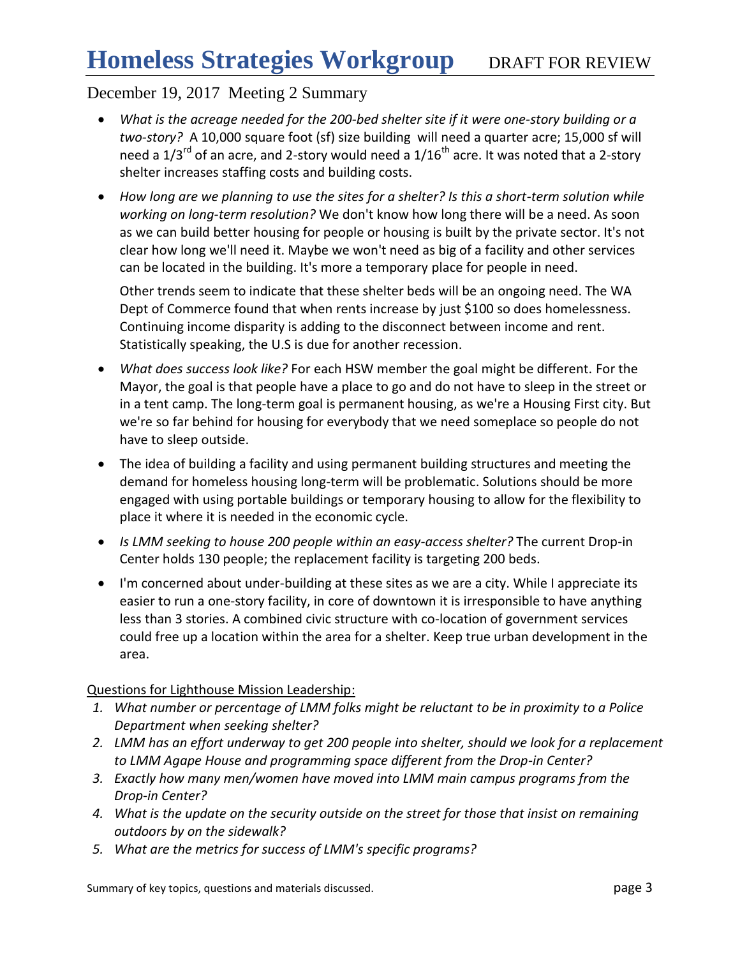- *What is the acreage needed for the 200-bed shelter site if it were one-story building or a two-story?* A 10,000 square foot (sf) size building will need a quarter acre; 15,000 sf will need a  $1/3^{rd}$  of an acre, and 2-story would need a  $1/16^{th}$  acre. It was noted that a 2-story shelter increases staffing costs and building costs.
- *How long are we planning to use the sites for a shelter? Is this a short-term solution while working on long-term resolution?* We don't know how long there will be a need. As soon as we can build better housing for people or housing is built by the private sector. It's not clear how long we'll need it. Maybe we won't need as big of a facility and other services can be located in the building. It's more a temporary place for people in need.

Other trends seem to indicate that these shelter beds will be an ongoing need. The WA Dept of Commerce found that when rents increase by just \$100 so does homelessness. Continuing income disparity is adding to the disconnect between income and rent. Statistically speaking, the U.S is due for another recession.

- *What does success look like?* For each HSW member the goal might be different. For the Mayor, the goal is that people have a place to go and do not have to sleep in the street or in a tent camp. The long-term goal is permanent housing, as we're a Housing First city. But we're so far behind for housing for everybody that we need someplace so people do not have to sleep outside.
- The idea of building a facility and using permanent building structures and meeting the demand for homeless housing long-term will be problematic. Solutions should be more engaged with using portable buildings or temporary housing to allow for the flexibility to place it where it is needed in the economic cycle.
- *Is LMM seeking to house 200 people within an easy-access shelter?* The current Drop-in Center holds 130 people; the replacement facility is targeting 200 beds.
- I'm concerned about under-building at these sites as we are a city. While I appreciate its easier to run a one-story facility, in core of downtown it is irresponsible to have anything less than 3 stories. A combined civic structure with co-location of government services could free up a location within the area for a shelter. Keep true urban development in the area.

## Questions for Lighthouse Mission Leadership:

- *1. What number or percentage of LMM folks might be reluctant to be in proximity to a Police Department when seeking shelter?*
- *2. LMM has an effort underway to get 200 people into shelter, should we look for a replacement to LMM Agape House and programming space different from the Drop-in Center?*
- *3. Exactly how many men/women have moved into LMM main campus programs from the Drop-in Center?*
- *4. What is the update on the security outside on the street for those that insist on remaining outdoors by on the sidewalk?*
- *5. What are the metrics for success of LMM's specific programs?*

Summary of key topics, questions and materials discussed. **page 3** page 3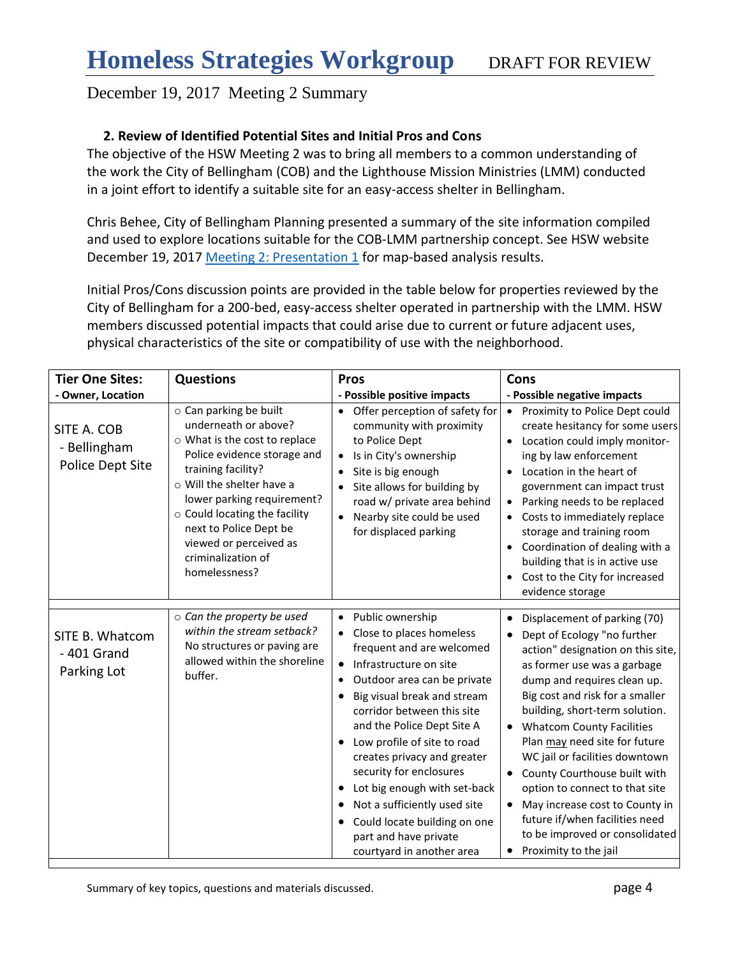## **2. Review of Identified Potential Sites and Initial Pros and Cons**

The objective of the HSW Meeting 2 was to bring all members to a common understanding of the work the City of Bellingham (COB) and the Lighthouse Mission Ministries (LMM) conducted in a joint effort to identify a suitable site for an easy-access shelter in Bellingham.

Chris Behee, City of Bellingham Planning presented a summary of the site information compiled and used to explore locations suitable for the COB-LMM partnership concept. See HSW website December 19, 2017 [Meeting 2: Presentation 1](http://www.co.whatcom.wa.us/2747/Homeless-Strategies-Workgroup) for map-based analysis results.

Initial Pros/Cons discussion points are provided in the table below for properties reviewed by the City of Bellingham for a 200-bed, easy-access shelter operated in partnership with the LMM. HSW members discussed potential impacts that could arise due to current or future adjacent uses, physical characteristics of the site or compatibility of use with the neighborhood.

| <b>Tier One Sites:</b>                          | <b>Questions</b>                                                                                                                                                                                                                                                                                                            | <b>Pros</b>                                                                                                                                                                                                                                                                                                                                                                                                                                                                                                                           | Cons                                                                                                                                                                                                                                                                                                                                                                                                                                                                                                                                                                                    |
|-------------------------------------------------|-----------------------------------------------------------------------------------------------------------------------------------------------------------------------------------------------------------------------------------------------------------------------------------------------------------------------------|---------------------------------------------------------------------------------------------------------------------------------------------------------------------------------------------------------------------------------------------------------------------------------------------------------------------------------------------------------------------------------------------------------------------------------------------------------------------------------------------------------------------------------------|-----------------------------------------------------------------------------------------------------------------------------------------------------------------------------------------------------------------------------------------------------------------------------------------------------------------------------------------------------------------------------------------------------------------------------------------------------------------------------------------------------------------------------------------------------------------------------------------|
| - Owner, Location                               |                                                                                                                                                                                                                                                                                                                             | - Possible positive impacts                                                                                                                                                                                                                                                                                                                                                                                                                                                                                                           | - Possible negative impacts                                                                                                                                                                                                                                                                                                                                                                                                                                                                                                                                                             |
| SITE A. COB<br>- Bellingham<br>Police Dept Site | o Can parking be built<br>underneath or above?<br>o What is the cost to replace<br>Police evidence storage and<br>training facility?<br>o Will the shelter have a<br>lower parking requirement?<br>o Could locating the facility<br>next to Police Dept be<br>viewed or perceived as<br>criminalization of<br>homelessness? | Offer perception of safety for<br>$\bullet$<br>community with proximity<br>to Police Dept<br>Is in City's ownership<br>$\bullet$<br>Site is big enough<br>Site allows for building by<br>road w/ private area behind<br>Nearby site could be used<br>for displaced parking                                                                                                                                                                                                                                                            | Proximity to Police Dept could<br>$\bullet$<br>create hesitancy for some users<br>Location could imply monitor-<br>ing by law enforcement<br>Location in the heart of<br>government can impact trust<br>Parking needs to be replaced<br>$\bullet$<br>Costs to immediately replace<br>$\bullet$<br>storage and training room<br>Coordination of dealing with a<br>building that is in active use<br>Cost to the City for increased<br>evidence storage                                                                                                                                   |
| SITE B. Whatcom<br>- 401 Grand<br>Parking Lot   | $\circ$ Can the property be used<br>within the stream setback?<br>No structures or paving are<br>allowed within the shoreline<br>buffer.                                                                                                                                                                                    | Public ownership<br>$\bullet$<br>Close to places homeless<br>frequent and are welcomed<br>Infrastructure on site<br>$\bullet$<br>Outdoor area can be private<br>$\bullet$<br>Big visual break and stream<br>corridor between this site<br>and the Police Dept Site A<br>Low profile of site to road<br>creates privacy and greater<br>security for enclosures<br>Lot big enough with set-back<br>$\bullet$<br>Not a sufficiently used site<br>٠<br>Could locate building on one<br>part and have private<br>courtyard in another area | Displacement of parking (70)<br>$\bullet$<br>Dept of Ecology "no further<br>$\bullet$<br>action" designation on this site,<br>as former use was a garbage<br>dump and requires clean up.<br>Big cost and risk for a smaller<br>building, short-term solution.<br><b>Whatcom County Facilities</b><br>Plan may need site for future<br>WC jail or facilities downtown<br>County Courthouse built with<br>$\bullet$<br>option to connect to that site<br>May increase cost to County in<br>future if/when facilities need<br>to be improved or consolidated<br>Proximity to the jail<br>٠ |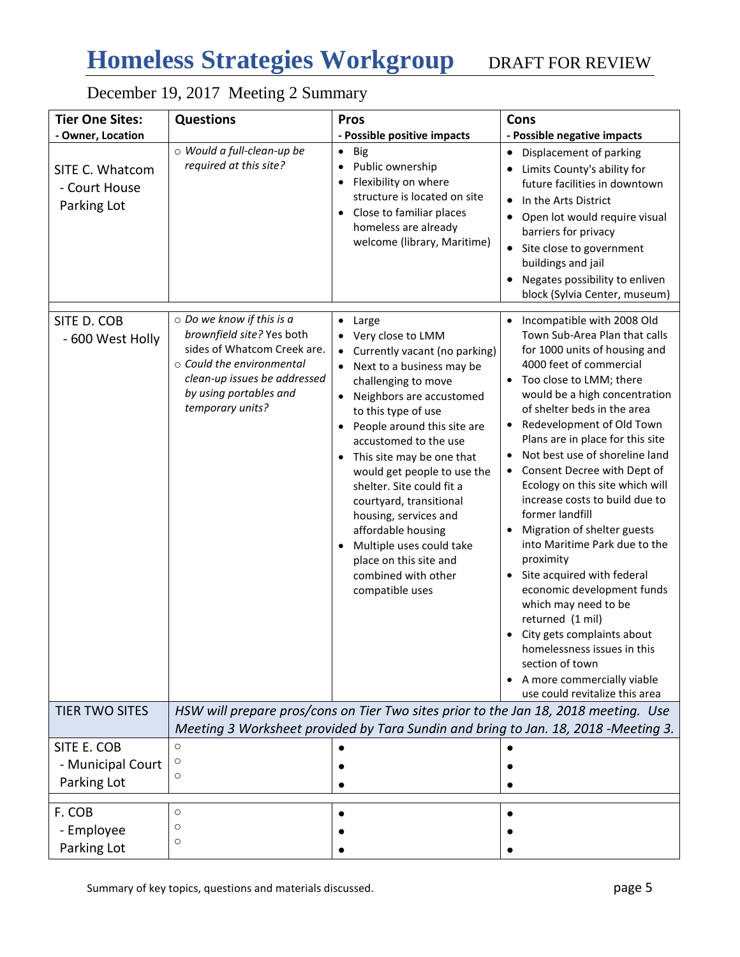# **Homeless Strategies Workgroup** DRAFT FOR REVIEW

# December 19, 2017 Meeting 2 Summary

| <b>Tier One Sites:</b>                          | <b>Questions</b>                                                                                                                                                                                             | <b>Pros</b>                                                                                                                                                                                                                                                                                                                                                                                                                                                                                                             | Cons                                                                                                                                                                                                                                                                                                                                                                                                                                                                                                                                                                                                                                                                                                                                                                                                                          |
|-------------------------------------------------|--------------------------------------------------------------------------------------------------------------------------------------------------------------------------------------------------------------|-------------------------------------------------------------------------------------------------------------------------------------------------------------------------------------------------------------------------------------------------------------------------------------------------------------------------------------------------------------------------------------------------------------------------------------------------------------------------------------------------------------------------|-------------------------------------------------------------------------------------------------------------------------------------------------------------------------------------------------------------------------------------------------------------------------------------------------------------------------------------------------------------------------------------------------------------------------------------------------------------------------------------------------------------------------------------------------------------------------------------------------------------------------------------------------------------------------------------------------------------------------------------------------------------------------------------------------------------------------------|
| - Owner, Location                               |                                                                                                                                                                                                              | - Possible positive impacts                                                                                                                                                                                                                                                                                                                                                                                                                                                                                             | - Possible negative impacts                                                                                                                                                                                                                                                                                                                                                                                                                                                                                                                                                                                                                                                                                                                                                                                                   |
| SITE C. Whatcom<br>- Court House<br>Parking Lot | o Would a full-clean-up be<br>required at this site?                                                                                                                                                         | $\bullet$<br>Big<br>Public ownership<br>Flexibility on where<br>$\bullet$<br>structure is located on site<br>Close to familiar places<br>homeless are already<br>welcome (library, Maritime)                                                                                                                                                                                                                                                                                                                            | Displacement of parking<br>Limits County's ability for<br>$\bullet$<br>future facilities in downtown<br>In the Arts District<br>٠<br>Open lot would require visual<br>barriers for privacy<br>Site close to government<br>$\bullet$<br>buildings and jail<br>Negates possibility to enliven<br>block (Sylvia Center, museum)                                                                                                                                                                                                                                                                                                                                                                                                                                                                                                  |
| SITE D. COB<br>- 600 West Holly                 | $\circ$ Do we know if this is a<br>brownfield site? Yes both<br>sides of Whatcom Creek are.<br>$\circ$ Could the environmental<br>clean-up issues be addressed<br>by using portables and<br>temporary units? | Large<br>$\bullet$<br>Very close to LMM<br>Currently vacant (no parking)<br>$\bullet$<br>Next to a business may be<br>challenging to move<br>Neighbors are accustomed<br>to this type of use<br>People around this site are<br>accustomed to the use<br>This site may be one that<br>would get people to use the<br>shelter. Site could fit a<br>courtyard, transitional<br>housing, services and<br>affordable housing<br>Multiple uses could take<br>place on this site and<br>combined with other<br>compatible uses | Incompatible with 2008 Old<br>Town Sub-Area Plan that calls<br>for 1000 units of housing and<br>4000 feet of commercial<br>Too close to LMM; there<br>$\bullet$<br>would be a high concentration<br>of shelter beds in the area<br>Redevelopment of Old Town<br>Plans are in place for this site<br>Not best use of shoreline land<br>$\bullet$<br>Consent Decree with Dept of<br>٠<br>Ecology on this site which will<br>increase costs to build due to<br>former landfill<br>Migration of shelter guests<br>into Maritime Park due to the<br>proximity<br>Site acquired with federal<br>$\bullet$<br>economic development funds<br>which may need to be<br>returned (1 mil)<br>City gets complaints about<br>homelessness issues in this<br>section of town<br>A more commercially viable<br>use could revitalize this area |
| <b>TIER TWO SITES</b>                           | HSW will prepare pros/cons on Tier Two sites prior to the Jan 18, 2018 meeting. Use<br>Meeting 3 Worksheet provided by Tara Sundin and bring to Jan. 18, 2018 -Meeting 3.                                    |                                                                                                                                                                                                                                                                                                                                                                                                                                                                                                                         |                                                                                                                                                                                                                                                                                                                                                                                                                                                                                                                                                                                                                                                                                                                                                                                                                               |
| SITE E. COB                                     | $\circ$                                                                                                                                                                                                      |                                                                                                                                                                                                                                                                                                                                                                                                                                                                                                                         |                                                                                                                                                                                                                                                                                                                                                                                                                                                                                                                                                                                                                                                                                                                                                                                                                               |
|                                                 | $\circ$                                                                                                                                                                                                      |                                                                                                                                                                                                                                                                                                                                                                                                                                                                                                                         |                                                                                                                                                                                                                                                                                                                                                                                                                                                                                                                                                                                                                                                                                                                                                                                                                               |
| - Municipal Court                               | $\circ$                                                                                                                                                                                                      |                                                                                                                                                                                                                                                                                                                                                                                                                                                                                                                         |                                                                                                                                                                                                                                                                                                                                                                                                                                                                                                                                                                                                                                                                                                                                                                                                                               |
| Parking Lot                                     |                                                                                                                                                                                                              |                                                                                                                                                                                                                                                                                                                                                                                                                                                                                                                         |                                                                                                                                                                                                                                                                                                                                                                                                                                                                                                                                                                                                                                                                                                                                                                                                                               |
| F. COB                                          | $\circ$                                                                                                                                                                                                      |                                                                                                                                                                                                                                                                                                                                                                                                                                                                                                                         |                                                                                                                                                                                                                                                                                                                                                                                                                                                                                                                                                                                                                                                                                                                                                                                                                               |
| - Employee                                      | $\circ$                                                                                                                                                                                                      |                                                                                                                                                                                                                                                                                                                                                                                                                                                                                                                         |                                                                                                                                                                                                                                                                                                                                                                                                                                                                                                                                                                                                                                                                                                                                                                                                                               |
|                                                 | $\circ$                                                                                                                                                                                                      |                                                                                                                                                                                                                                                                                                                                                                                                                                                                                                                         |                                                                                                                                                                                                                                                                                                                                                                                                                                                                                                                                                                                                                                                                                                                                                                                                                               |
| Parking Lot                                     |                                                                                                                                                                                                              |                                                                                                                                                                                                                                                                                                                                                                                                                                                                                                                         |                                                                                                                                                                                                                                                                                                                                                                                                                                                                                                                                                                                                                                                                                                                                                                                                                               |

Summary of key topics, questions and materials discussed. **page 5**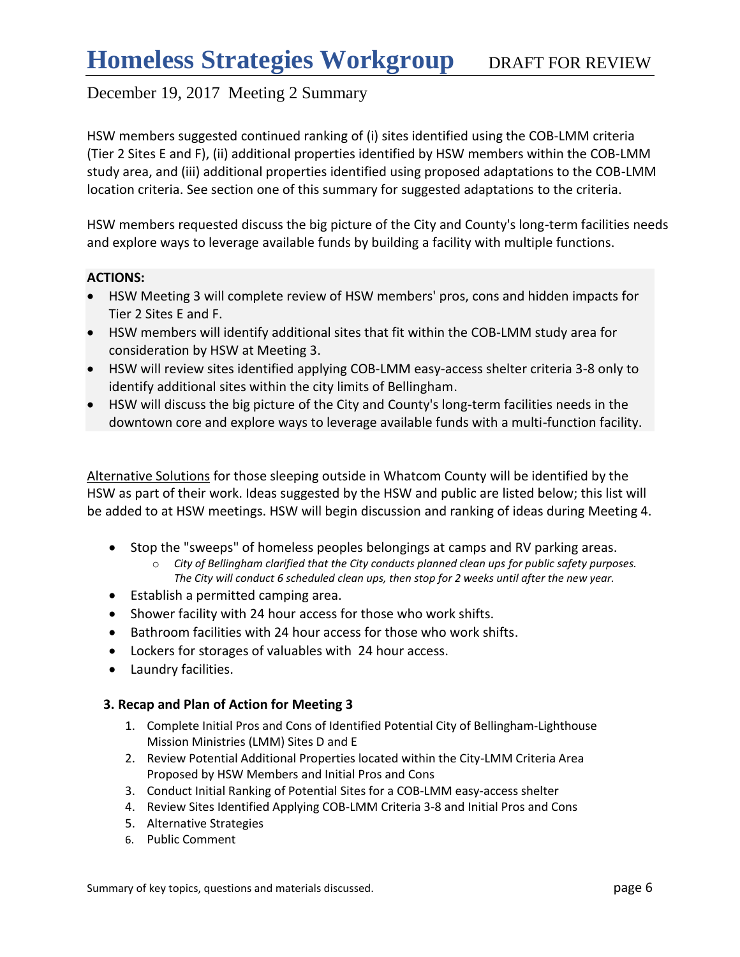HSW members suggested continued ranking of (i) sites identified using the COB-LMM criteria (Tier 2 Sites E and F), (ii) additional properties identified by HSW members within the COB-LMM study area, and (iii) additional properties identified using proposed adaptations to the COB-LMM location criteria. See section one of this summary for suggested adaptations to the criteria.

HSW members requested discuss the big picture of the City and County's long-term facilities needs and explore ways to leverage available funds by building a facility with multiple functions.

#### **ACTIONS:**

- HSW Meeting 3 will complete review of HSW members' pros, cons and hidden impacts for Tier 2 Sites E and F.
- HSW members will identify additional sites that fit within the COB-LMM study area for consideration by HSW at Meeting 3.
- HSW will review sites identified applying COB-LMM easy-access shelter criteria 3-8 only to identify additional sites within the city limits of Bellingham.
- HSW will discuss the big picture of the City and County's long-term facilities needs in the downtown core and explore ways to leverage available funds with a multi-function facility.

Alternative Solutions for those sleeping outside in Whatcom County will be identified by the HSW as part of their work. Ideas suggested by the HSW and public are listed below; this list will be added to at HSW meetings. HSW will begin discussion and ranking of ideas during Meeting 4.

- Stop the "sweeps" of homeless peoples belongings at camps and RV parking areas.
	- o *City of Bellingham clarified that the City conducts planned clean ups for public safety purposes. The City will conduct 6 scheduled clean ups, then stop for 2 weeks until after the new year.*
- Establish a permitted camping area.
- Shower facility with 24 hour access for those who work shifts.
- Bathroom facilities with 24 hour access for those who work shifts.
- Lockers for storages of valuables with 24 hour access.
- Laundry facilities.

## **3. Recap and Plan of Action for Meeting 3**

- 1. Complete Initial Pros and Cons of Identified Potential City of Bellingham-Lighthouse Mission Ministries (LMM) Sites D and E
- 2. Review Potential Additional Properties located within the City-LMM Criteria Area Proposed by HSW Members and Initial Pros and Cons
- 3. Conduct Initial Ranking of Potential Sites for a COB-LMM easy-access shelter
- 4. Review Sites Identified Applying COB-LMM Criteria 3-8 and Initial Pros and Cons
- 5. Alternative Strategies
- 6. Public Comment

Summary of key topics, questions and materials discussed. **page 6** and page 6 and page 6